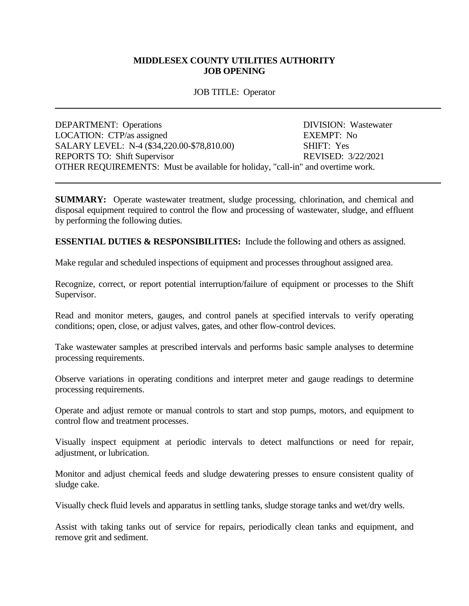## **MIDDLESEX COUNTY UTILITIES AUTHORITY JOB OPENING**

## JOB TITLE: Operator

| <b>DEPARTMENT:</b> Operations                                                   | DIVISION: Wastewater |
|---------------------------------------------------------------------------------|----------------------|
| LOCATION: CTP/as assigned                                                       | <b>EXEMPT: No</b>    |
| SALARY LEVEL: N-4 (\$34,220.00-\$78,810.00)                                     | SHIFT: Yes           |
| <b>REPORTS TO: Shift Supervisor</b>                                             | REVISED: 3/22/2021   |
| OTHER REQUIREMENTS: Must be available for holiday, "call-in" and overtime work. |                      |

**SUMMARY:** Operate wastewater treatment, sludge processing, chlorination, and chemical and disposal equipment required to control the flow and processing of wastewater, sludge, and effluent by performing the following duties.

**ESSENTIAL DUTIES & RESPONSIBILITIES:** Include the following and others as assigned.

Make regular and scheduled inspections of equipment and processes throughout assigned area.

Recognize, correct, or report potential interruption/failure of equipment or processes to the Shift Supervisor.

Read and monitor meters, gauges, and control panels at specified intervals to verify operating conditions; open, close, or adjust valves, gates, and other flow-control devices.

Take wastewater samples at prescribed intervals and performs basic sample analyses to determine processing requirements.

Observe variations in operating conditions and interpret meter and gauge readings to determine processing requirements.

Operate and adjust remote or manual controls to start and stop pumps, motors, and equipment to control flow and treatment processes.

Visually inspect equipment at periodic intervals to detect malfunctions or need for repair, adjustment, or lubrication.

Monitor and adjust chemical feeds and sludge dewatering presses to ensure consistent quality of sludge cake.

Visually check fluid levels and apparatus in settling tanks, sludge storage tanks and wet/dry wells.

Assist with taking tanks out of service for repairs, periodically clean tanks and equipment, and remove grit and sediment.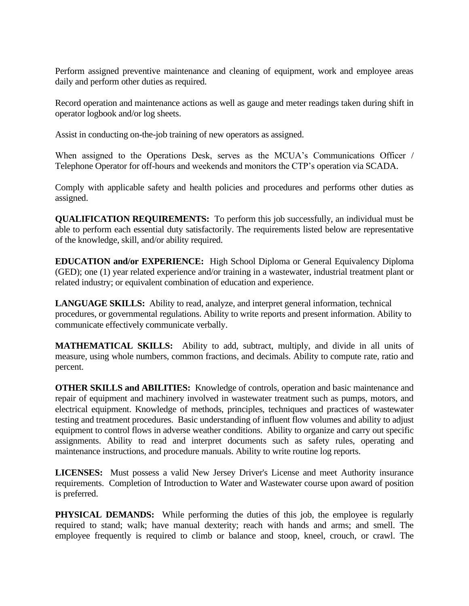Perform assigned preventive maintenance and cleaning of equipment, work and employee areas daily and perform other duties as required.

Record operation and maintenance actions as well as gauge and meter readings taken during shift in operator logbook and/or log sheets.

Assist in conducting on-the-job training of new operators as assigned.

When assigned to the Operations Desk, serves as the MCUA's Communications Officer / Telephone Operator for off-hours and weekends and monitors the CTP's operation via SCADA.

Comply with applicable safety and health policies and procedures and performs other duties as assigned.

**QUALIFICATION REQUIREMENTS:** To perform this job successfully, an individual must be able to perform each essential duty satisfactorily. The requirements listed below are representative of the knowledge, skill, and/or ability required.

**EDUCATION and/or EXPERIENCE:** High School Diploma or General Equivalency Diploma (GED); one (1) year related experience and/or training in a wastewater, industrial treatment plant or related industry; or equivalent combination of education and experience.

**LANGUAGE SKILLS:** Ability to read, analyze, and interpret general information, technical procedures, or governmental regulations. Ability to write reports and present information. Ability to communicate effectively communicate verbally.

**MATHEMATICAL SKILLS:** Ability to add, subtract, multiply, and divide in all units of measure, using whole numbers, common fractions, and decimals. Ability to compute rate, ratio and percent.

**OTHER SKILLS and ABILITIES:** Knowledge of controls, operation and basic maintenance and repair of equipment and machinery involved in wastewater treatment such as pumps, motors, and electrical equipment. Knowledge of methods, principles, techniques and practices of wastewater testing and treatment procedures. Basic understanding of influent flow volumes and ability to adjust equipment to control flows in adverse weather conditions. Ability to organize and carry out specific assignments. Ability to read and interpret documents such as safety rules, operating and maintenance instructions, and procedure manuals. Ability to write routine log reports.

**LICENSES:** Must possess a valid New Jersey Driver's License and meet Authority insurance requirements. Completion of Introduction to Water and Wastewater course upon award of position is preferred.

**PHYSICAL DEMANDS:** While performing the duties of this job, the employee is regularly required to stand; walk; have manual dexterity; reach with hands and arms; and smell. The employee frequently is required to climb or balance and stoop, kneel, crouch, or crawl. The